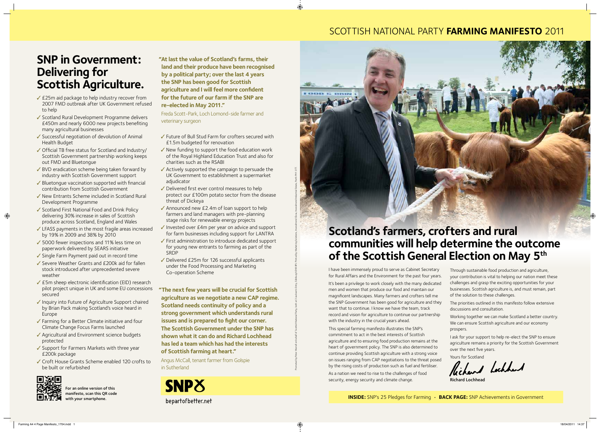## SCOTTISH NATIONAL PARTY **farming MANIFESTO** 2011

# **SNP in Government: Delivering for Scottish Agriculture.**

- ✓ £25m aid package to help industry recover from 2007 FMD outbreak after UK Government refused to help
- ✓ Scotland Rural Development Programme delivers £450m and nearly 6000 new projects benefiting many agricultural businesses
- ✓ Successful negotiation of devolution of Animal Health Budget
- ✓ Official TB free status for Scotland and Industry/ Scottish Government partnership working keeps out FMD and Bluetongue
- ✓ BVD eradication scheme being taken forward by industry with Scottish Government support
- ✓ Bluetongue vaccination supported with financial contribution from Scottish Government
- ✓ New Entrants Scheme included in Scotland Rural Development Programme
- ✓ Scotland First National Food and Drink Policy delivering 30% increase in sales of Scottish produce across Scotland, England and Wales
- ✓ LFASS payments in the most fragile areas increased by 19% in 2009 and 38% by 2010
- ✓ 5000 fewer inspections and 11% less time on paperwork delivered by SEARS initiative
- ✓ Single Farm Payment paid out in record time
- ✓ Severe Weather Grants and £200k aid for fallen stock introduced after unprecedented severe weather
- ✓ £5m sheep electronic identification (EID) research pilot project unique in UK and some EU concessions secured
- ✓ Inquiry into Future of Agriculture Support chaired by Brian Pack making Scotland's voice heard in Europe
- ✓ Farming for a Better Climate initiative and four Climate Change Focus Farms launched
- ✓ Agricultural and Environment science budgets protected
- ✓ Support for Farmers Markets with three year £200k package
- ✓ Croft House Grants Scheme enabled 120 crofts to be built or refurbished



 $\bigoplus$ 

For an online version of this manifesto, scan this QR code ith your smartphone.

- ✓ Future of Bull Stud Farm for crofters secured with £1.5m budgeted for renovation
- ✓ New funding to support the food education work of the Royal Highland Education Trust and also for charities such as the RSABI
- ✓ Actively supported the campaign to persuade the UK Government to establishment a supermarket adjudicator
- ✓ Delivered first ever control measures to help protect our £100m potato sector from the disease threat of Dickeya
- ✓ Announced new £2.4m of loan support to help farmers and land managers with pre-planning stage risks for renewable energy projects
- ✓ Invested over £4m per year on advice and support for farm businesses including support for LANTRA
- ✓ First administration to introduce dedicated support for young new entrants to farming as part of the SRDP

✓ Delivered £25m for 126 successful applicants under the Food Processing and Marketing Co-operation Scheme

Promoted by Peter Murrell on behalf of Scottish National Party, both at 3 Jackson's Entry, Edinburgh EH8 8PJ. Printed by Marketing Solutions, Inveralmond Close, Inveralmond Industrial Estate, Perth PH1 3TT.

◈

**"At last the value of Scotland's farms, their land and their produce have been recognised by a political party; over the last 4 years the SNP has been good for Scottish agriculture and I will feel more confident for the future of our farm if the SNP are re-elected in May 2011."** 

Freda Scott-Park, Loch Lomond-side farmer and veterinary surgeon

**"The next few years will be crucial for Scottish agriculture as we negotiate a new CAP regime. Scotland needs continuity of policy and a strong government which understands rural issues and is prepared to fight our corner. The Scottish Government under the SNP has shown what it can do and Richard Lochhead has led a team which has had the interests of Scottish farming at heart."**

Angus McCall, tenant farmer from Golspie in Sutherland



I have been immensely proud to serve as Cabinet Secretary for Rural Affairs and the Environment for the past four years. It's been a privilege to work closely with the many dedicated men and women that produce our food and maintain our magnificent landscapes. Many farmers and crofters tell me the SNP Government has been good for agriculture and they want that to continue. I know we have the team, track record and vision for agriculture to continue our partnership with the industry in the crucial years ahead.

This special farming manifesto illustrates the SNP's commitment to act in the best interests of Scottish agriculture and to ensuring food production remains at the heart of government policy. The SNP is also determined to continue providing Scottish agriculture with a strong voice on issues ranging from CAP negotiations to the threat posed by the rising costs of production such as fuel and fertiliser. As a nation we need to rise to the challenges of food security, energy security and climate change.

Through sustainable food production and agriculture, your contribution is vital to helping our nation meet these challenges and grasp the exciting opportunities for your businesses. Scottish agriculture is, and must remain, part of the solution to these challenges.

The priorities outlined in this manifesto follow extensive discussions and consultation.

Working together we can make Scotland a better country. We can ensure Scottish agriculture and our economy prospers.

I ask for your support to help re-elect the SNP to ensure agriculture remains a priority for the Scottish Government over the next five years.

Yours for Scotland<br>Richard Lochhard

Richard Lochhead

# **Scotland's farmers, crofters and rural**

**AND A** 

# **communities will help determine the outcome of the Scottish General Election on May 5th**

**INSIDE:** SNP's 25 Pledges for Farming • **BACK PAGE:** SNP Achievements in Government